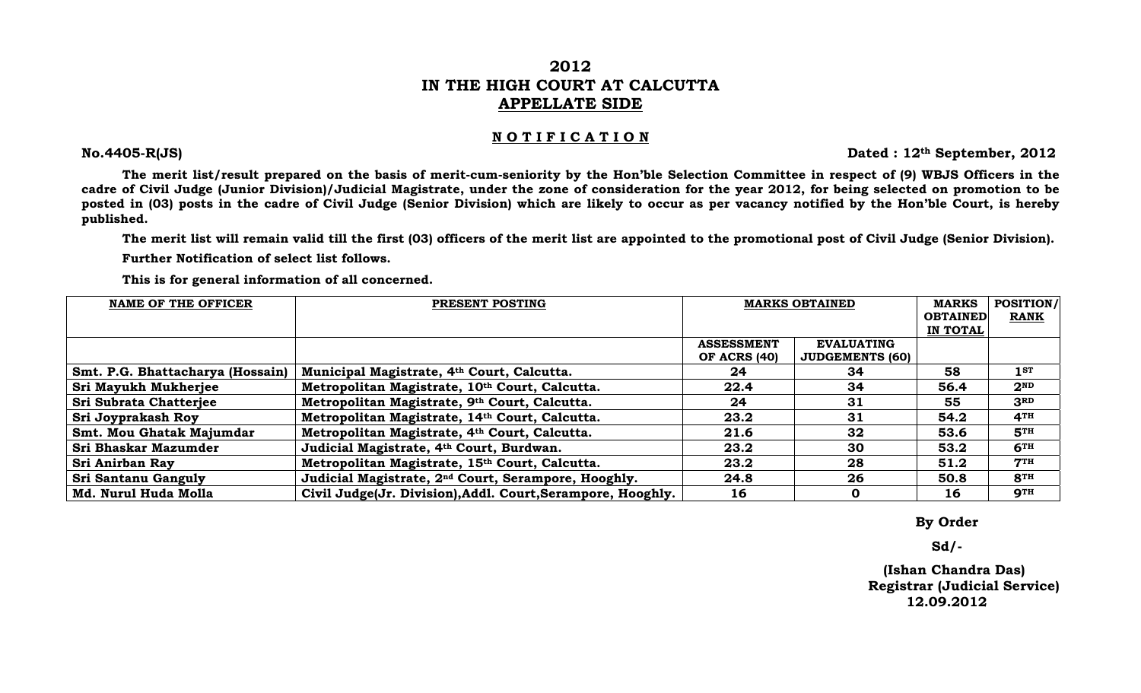# **2012 IN THE HIGH COURT AT CALCUTTA APPELLATE SIDE**

### **N O T I F I C A T I O N**

**No.4405-R(JS) Dated : 12th September, 2012** 

 **The merit list/result prepared on the basis of merit-cum-seniority by the Hon'ble Selection Committee in respect of (9) WBJS Officers in the cadre of Civil Judge (Junior Division)/Judicial Magistrate, under the zone of consideration for the year 2012, for being selected on promotion to be posted in (03) posts in the cadre of Civil Judge (Senior Division) which are likely to occur as per vacancy notified by the Hon'ble Court, is hereby published.** 

 **The merit list will remain valid till the first (03) officers of the merit list are appointed to the promotional post of Civil Judge (Senior Division).** 

 **Further Notification of select list follows.** 

 **This is for general information of all concerned.** 

| <b>NAME OF THE OFFICER</b>       | PRESENT POSTING                                                 | <b>MARKS OBTAINED</b> |                        | <b>MARKS</b>    | <b>POSITION/</b> |
|----------------------------------|-----------------------------------------------------------------|-----------------------|------------------------|-----------------|------------------|
|                                  |                                                                 |                       |                        | <b>OBTAINED</b> | <b>RANK</b>      |
|                                  |                                                                 |                       |                        | IN TOTAL        |                  |
|                                  |                                                                 | <b>ASSESSMENT</b>     | <b>EVALUATING</b>      |                 |                  |
|                                  |                                                                 | <b>OF ACRS (40)</b>   | <b>JUDGEMENTS (60)</b> |                 |                  |
| Smt. P.G. Bhattacharya (Hossain) | Municipal Magistrate, 4th Court, Calcutta.                      | 24                    | 34                     | 58              | 1 <sub>ST</sub>  |
| Sri Mayukh Mukherjee             | Metropolitan Magistrate, 10th Court, Calcutta.                  | 22.4                  | 34                     | 56.4            | 2 <sup>ND</sup>  |
| <b>Sri Subrata Chatterjee</b>    | Metropolitan Magistrate, 9th Court, Calcutta.                   | 24                    | 31                     | 55              | 3 <sub>RD</sub>  |
| Sri Joyprakash Roy               | Metropolitan Magistrate, 14th Court, Calcutta.                  | 23.2                  | 31                     | 54.2            | <b>4TH</b>       |
| Smt. Mou Ghatak Majumdar         | Metropolitan Magistrate, 4th Court, Calcutta.                   | 21.6                  | 32                     | 53.6            | 5 <sup>TH</sup>  |
| Sri Bhaskar Mazumder             | Judicial Magistrate, 4th Court, Burdwan.                        | 23.2                  | 30                     | 53.2            | 6 <sup>TH</sup>  |
| Sri Anirban Ray                  | Metropolitan Magistrate, 15th Court, Calcutta.                  | 23.2                  | 28                     | 51.2            | 7 <sup>TH</sup>  |
| Sri Santanu Ganguly              | Judicial Magistrate, 2 <sup>nd</sup> Court, Serampore, Hooghly. | 24.8                  | 26                     | 50.8            | 8TH              |
| Md. Nurul Huda Molla             | Civil Judge(Jr. Division), Addl. Court, Serampore, Hooghly.     | 16                    | 0                      | 16              | <b>9TH</b>       |

 **By Order** 

 **Sd/-** 

 **(Ishan Chandra Das) Registrar (Judicial Service) 12.09.2012**